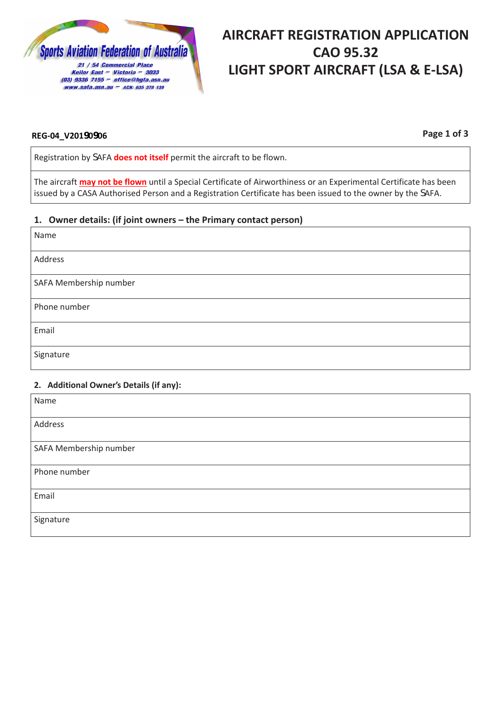

# **AIRCRAFT REGISTRATION APPLICATION CAO 95.32 LIGHT SPORT AIRCRAFT (LSA & E-LSA)**

#### **REG-04\_V20190906**

**Page 1 of 3**

Registration by SAFA **does not itself** permit the aircraft to be flown.

The aircraft **may not be flown** until a Special Certificate of Airworthiness or an Experimental Certificate has been issued by a CASA Authorised Person and a Registration Certificate has been issued to the owner by the SAFA.

#### **1. Owner details: (if joint owners – the Primary contact person)**

| Name                   |
|------------------------|
| Address                |
| SAFA Membership number |
| Phone number           |
| Email                  |
| Signature              |

#### **2. Additional Owner's Details (if any):**

| Name                   |
|------------------------|
| Address                |
| SAFA Membership number |
| Phone number           |
| Email                  |
| Signature              |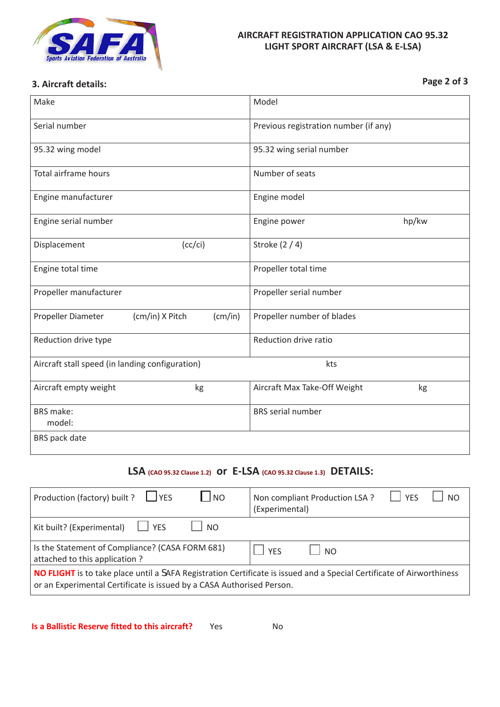

#### **AIRCRAFT REGISTRATION APPLICATION CAO 95.32 LIGHT SPORT AIRCRAFT (LSA & E-LSA)**

# **Page 2 of 3 3. Aircraft details:**

| Make                                                   |                 |         | Model                                 |       |
|--------------------------------------------------------|-----------------|---------|---------------------------------------|-------|
| Serial number                                          |                 |         | Previous registration number (if any) |       |
| 95.32 wing model                                       |                 |         | 95.32 wing serial number              |       |
| Total airframe hours                                   |                 |         | Number of seats                       |       |
| Engine manufacturer                                    |                 |         | Engine model                          |       |
| Engine serial number                                   |                 |         | Engine power                          | hp/kw |
| Displacement                                           | (cc/ci)         |         | Stroke (2 / 4)                        |       |
| Engine total time                                      |                 |         | Propeller total time                  |       |
| Propeller manufacturer                                 |                 |         | Propeller serial number               |       |
| Propeller Diameter                                     | (cm/in) X Pitch | (cm/in) | Propeller number of blades            |       |
| Reduction drive type                                   |                 |         | Reduction drive ratio                 |       |
| Aircraft stall speed (in landing configuration)<br>kts |                 |         |                                       |       |
| Aircraft empty weight                                  | kg              |         | Aircraft Max Take-Off Weight          | kg    |
| <b>BRS</b> make:<br>model:                             |                 |         | <b>BRS</b> serial number              |       |
| BRS pack date                                          |                 |         |                                       |       |

## **LSA (CAO 95.32 Clause 1.2) or E-LSA (CAO 95.32 Clause 1.3) DETAILS:**

| Production (factory) built ? $\Box$ YES<br>$\overline{\phantom{a}}$ $\overline{\phantom{a}}$                                                                                                          | $\perp$ $\vee$ PS<br>Non compliant Production LSA ?<br>NΩ<br>(Experimental) |  |  |  |
|-------------------------------------------------------------------------------------------------------------------------------------------------------------------------------------------------------|-----------------------------------------------------------------------------|--|--|--|
| Kit built? (Experimental) $\Box$ YES<br>$\Box$ NO                                                                                                                                                     |                                                                             |  |  |  |
| Is the Statement of Compliance? (CASA FORM 681)<br>attached to this application?                                                                                                                      | <b>YFS</b><br>∣ N∩                                                          |  |  |  |
| <b>NO FLIGHT</b> is to take place until a SAFA Registration Certificate is issued and a Special Certificate of Airworthiness<br>or an Experimental Certificate is issued by a CASA Authorised Person. |                                                                             |  |  |  |